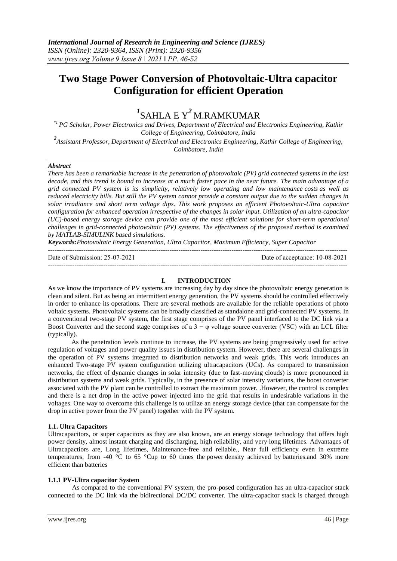## **Two Stage Power Conversion of Photovoltaic-Ultra capacitor Configuration for efficient Operation**

# *1* SAHLA E Y*2* M.RAMKUMAR

*\*1 PG Scholar, Power Electronics and Drives, Department of Electrical and Electronics Engineering, Kathir College of Engineering, Coimbatore, India*

*2 Assistant Professor, Department of Electrical and Electronics Engineering, Kathir College of Engineering, Coimbatore, India*

#### *Abstract*

*There has been a remarkable increase in the penetration of photovoltaic (PV) grid connected systems in the last decade, and this trend is bound to increase at a much faster pace in the near future. The main advantage of a grid connected PV system is its simplicity, relatively low operating and low maintenance costs as well as reduced electricity bills. But still the PV system cannot provide a constant output due to the sudden changes in solar irradiance and short term voltage dips. This work proposes an efficient Photovoltaic-Ultra capacitor configuration for enhanced operation irrespective of the changes in solar input. Utilization of an ultra-capacitor (UC)-based energy storage device can provide one of the most efficient solutions for short-term operational challenges in grid-connected photovoltaic (PV) systems. The effectiveness of the proposed method is examined by MATLAB-SIMULINK based simulations.*

*Keywords:Photovoltaic Energy Generation, Ultra Capacitor, Maximum Efficiency, Super Capacitor* ---------------------------------------------------------------------------------------------------------------------------------------

Date of Submission: 25-07-2021 Date of acceptance: 10-08-2021

---------------------------------------------------------------------------------------------------------------------------------------

#### **I. INTRODUCTION**

As we know the importance of PV systems are increasing day by day since the photovoltaic energy generation is clean and silent. But as being an intermittent energy generation, the PV systems should be controlled effectively in order to enhance its operations. There are several methods are available for the reliable operations of photo voltaic systems. Photovoltaic systems can be broadly classified as standalone and grid-connected PV systems. In a conventional two-stage PV system, the first stage comprises of the PV panel interfaced to the DC link via a Boost Converter and the second stage comprises of a  $3 - \varphi$  voltage source converter (VSC) with an LCL filter (typically).

 As the penetration levels continue to increase, the PV systems are being progressively used for active regulation of voltages and power quality issues in distribution system. However, there are several challenges in the operation of PV systems integrated to distribution networks and weak grids. This work introduces an enhanced Two-stage PV system configuration utilizing ultracapacitors (UCs). As compared to transmission networks, the effect of dynamic changes in solar intensity (due to fast-moving clouds) is more pronounced in distribution systems and weak grids. Typically, in the presence of solar intensity variations, the boost converter associated with the PV plant can be controlled to extract the maximum power. .However, the control is complex and there is a net drop in the active power injected into the grid that results in undesirable variations in the voltages. One way to overcome this challenge is to utilize an energy storage device (that can compensate for the drop in active power from the PV panel) together with the PV system.

#### **1.1. Ultra Capacitors**

Ultracapacitors, or super capacitors as they are also known, are an energy storage technology that offers high power density, almost instant charging and discharging, high reliability, and very long lifetimes. Advantages of Ultracapactiors are, Long lifetimes, Maintenance-free and reliable., Near full efficiency even in extreme temperatures, from -40 °C to 65 °Cup to 60 times the power density achieved by batteries.and 30% more efficient than batteries

#### **1.1.1 PV-Ultra capacitor System**

As compared to the conventional PV system, the pro-posed configuration has an ultra-capacitor stack connected to the DC link via the bidirectional DC/DC converter. The ultra-capacitor stack is charged through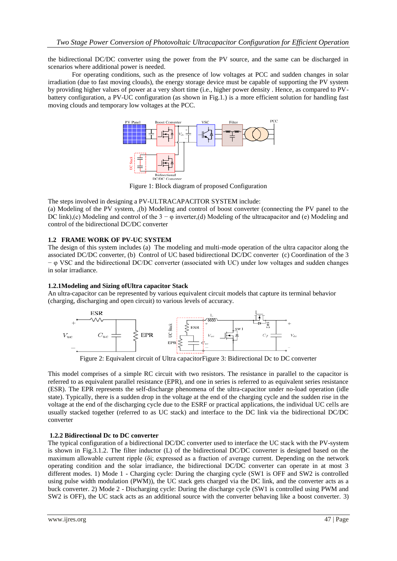the bidirectional DC/DC converter using the power from the PV source, and the same can be discharged in scenarios where additional power is needed.

For operating conditions, such as the presence of low voltages at PCC and sudden changes in solar irradiation (due to fast moving clouds), the energy storage device must be capable of supporting the PV system by providing higher values of power at a very short time (i.e., higher power density . Hence, as compared to PVbattery configuration, a PV-UC configuration (as shown in Fig.1.) is a more efficient solution for handling fast moving clouds and temporary low voltages at the PCC.



Figure 1: Block diagram of proposed Configuration

The steps involved in designing a PV-ULTRACAPACITOR SYSTEM include:

(a) Modeling of the PV system, ,(b) Modeling and control of boost converter (connecting the PV panel to the DC link),(c) Modeling and control of the 3 −  $\varphi$  inverter,(d) Modeling of the ultracapacitor and (e) Modeling and control of the bidirectional DC/DC converter

## **1.2 FRAME WORK OF PV-UC SYSTEM**

The design of this system includes (a) The modeling and multi-mode operation of the ultra capacitor along the associated DC/DC converter, (b) Control of UC based bidirectional DC/DC converter (c) Coordination of the 3 − φ VSC and the bidirectional DC/DC converter (associated with UC) under low voltages and sudden changes in solar irradiance.

## **1.2.1Modeling and Sizing ofUltra capacitor Stack**

An ultra-capacitor can be represented by various equivalent circuit models that capture its terminal behavior (charging, discharging and open circuit) to various levels of accuracy.



Figure 2: Equivalent circuit of Ultra capacitorFigure 3: Bidirectional Dc to DC converter

This model comprises of a simple RC circuit with two resistors. The resistance in parallel to the capacitor is referred to as equivalent parallel resistance (EPR), and one in series is referred to as equivalent series resistance (ESR). The EPR represents the self-discharge phenomena of the ultra-capacitor under no-load operation (idle state). Typically, there is a sudden drop in the voltage at the end of the charging cycle and the sudden rise in the voltage at the end of the discharging cycle due to the ESRF or practical applications, the individual UC cells are usually stacked together (referred to as UC stack) and interface to the DC link via the bidirectional DC/DC converter

## **1.2.2 Bidirectional Dc to DC converter**

The typical configuration of a bidirectional DC/DC converter used to interface the UC stack with the PV-system is shown in Fig.3.1.2. The filter inductor (L) of the bidirectional DC/DC converter is designed based on the maximum allowable current ripple (δi; expressed as a fraction of average current. Depending on the network operating condition and the solar irradiance, the bidirectional DC/DC converter can operate in at most 3 different modes. 1) Mode 1 - Charging cycle: During the charging cycle (SW1 is OFF and SW2 is controlled using pulse width modulation (PWM)), the UC stack gets charged via the DC link, and the converter acts as a buck converter. 2) Mode 2 - Discharging cycle: During the discharge cycle (SW1 is controlled using PWM and SW2 is OFF), the UC stack acts as an additional source with the converter behaving like a boost converter. 3)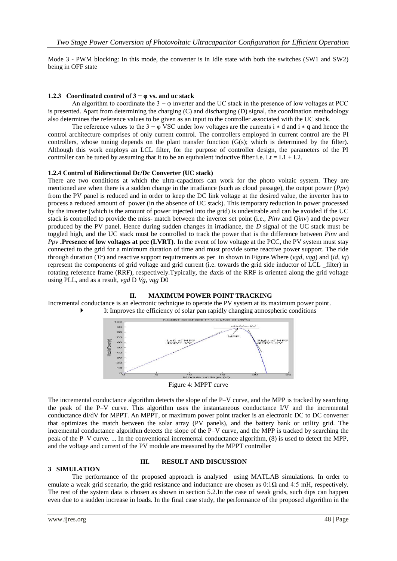Mode 3 - PWM blocking: In this mode, the converter is in Idle state with both the switches (SW1 and SW2) being in OFF state

## **1.2.3 Coordinated control of 3 − φ vs. and uc stack**

An algorithm to coordinate the  $3 - \varphi$  inverter and the UC stack in the presence of low voltages at PCC is presented. Apart from determining the charging (C) and discharging (D) signal, the coordination methodology also determines the reference values to be given as an input to the controller associated with the UC stack.

The reference values to the  $3 - \varphi$  VSC under low voltages are the currents i  $*$  d and i  $*$  q and hence the control architecture comprises of only current control. The controllers employed in current control are the PI controllers, whose tuning depends on the plant transfer function  $(G(s))$ ; which is determined by the filter). Although this work employs an LCL filter, for the purpose of controller design, the parameters of the PI controller can be tuned by assuming that it to be an equivalent inductive filter i.e. Lt = L1 + L2.

#### **1.2.4 Control of Bidirectional Dc/Dc Converter (UC stack)**

æ  $10$ 

There are two conditions at which the ultra-capacitors can work for the photo voltaic system. They are mentioned are when there is a sudden change in the irradiance (such as cloud passage), the output power (*Ppv*) from the PV panel is reduced and in order to keep the DC link voltage at the desired value, the inverter has to process a reduced amount of power (in the absence of UC stack). This temporary reduction in power processed by the inverter (which is the amount of power injected into the grid) is undesirable and can be avoided if the UC stack is controlled to provide the miss- match between the inverter set point (i.e., *Pinv* and *Qinv*) and the power produced by the PV panel. Hence during sudden changes in irradiance, the *D* signal of the UC stack must be toggled high, and the UC stack must be controlled to track the power that is the difference between *Pinv* and *Ppv* **.Presence of low voltages at pcc (LVRT)***.* In the event of low voltage at the PCC, the PV system must stay connected to the grid for a minimum duration of time and must provide some reactive power support. The ride through duration (*Tr*) and reactive support requirements as per in shown in Figure.Where (*vgd*, *vqg*) and (*id*, *iq*) represent the components of grid voltage and grid current (i.e. towards the grid side inductor of LCL \_filter) in rotating reference frame (RRF), respectively.Typically, the *d*axis of the RRF is oriented along the grid voltage using PLL, and as a result, *vgd* D *Vg*, *vqg* D0





Figure 4: MPPT curve

The incremental conductance algorithm detects the slope of the P–V curve, and the MPP is tracked by searching the peak of the P–V curve. This algorithm uses the instantaneous conductance I/V and the incremental conductance dI/dV for MPPT. An MPPT, or maximum power point tracker is an electronic DC to DC converter that optimizes the match between the solar array (PV panels), and the battery bank or utility grid. The incremental conductance algorithm detects the slope of the P–V curve, and the MPP is tracked by searching the peak of the P–V curve. ... In the conventional incremental conductance algorithm, (8) is used to detect the MPP, and the voltage and current of the PV module are measured by the MPPT controller

## **3 SIMULATION**

#### **III. RESULT AND DISCUSSION**

The performance of the proposed approach is analysed using MATLAB simulations. In order to emulate a weak grid scenario, the grid resistance and inductance are chosen as  $0:1\Omega$  and 4:5 mH, respectively. The rest of the system data is chosen as shown in section 5.2.In the case of weak grids, such dips can happen even due to a sudden increase in loads. In the final case study, the performance of the proposed algorithm in the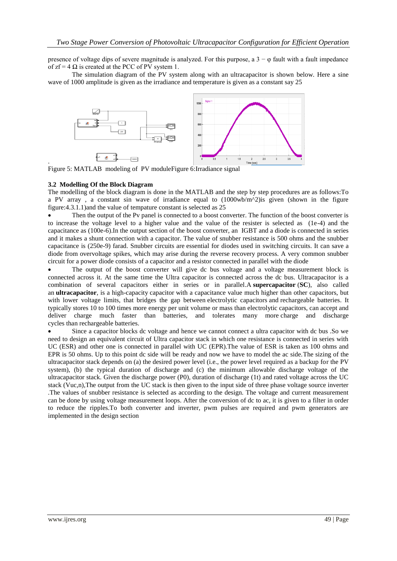presence of voltage dips of severe magnitude is analyzed. For this purpose, a  $3 - \varphi$  fault with a fault impedance of  $zf = 4 \Omega$  is created at the PCC of PV system 1.

The simulation diagram of the PV system along with an ultracapacitor is shown below. Here a sine wave of 1000 amplitude is given as the irradiance and temperature is given as a constant say 25



Figure 5: MATLAB modeling of PV moduleFigure 6:Irradiance signal

#### **3.2 Modelling Of the Block Diagram**

.

The modelling of the block diagram is done in the MATLAB and the step by step procedures are as follows:To a PV array, a constant sin wave of irradiance equal to  $(1000 \text{wb/m}^2)$  is given (shown in the figure figure:4.3.1.1)and the value of tempature constant is selected as 25

 Then the output of the Pv panel is connected to a boost converter. The function of the boost converter is to increase the voltage level to a higher value and the value of the resister is selected as (1e-4) and the capacitance as (100e-6).In the output section of the boost converter, an IGBT and a diode is connected in series and it makes a shunt connection with a capacitor. The value of snubber resistance is 500 ohms and the snubber capacitance is (250e-9) farad. Snubber circuits are essential for diodes used in switching circuits. It can save a diode from overvoltage spikes, which may arise during the reverse recovery process. A very common snubber circuit for a power diode consists of a capacitor and a resistor connected in parallel with the diode

 The output of the boost converter will give dc bus voltage and a voltage measurement block is connected across it. At the same time the Ultra capacitor is connected across the dc bus. Ultracapacitor is a combination of several capacitors either in series or in parallel.A **supercapacitor** (**SC**), also called an **ultracapacitor**, is a high-capacity [capacitor](https://en.wikipedia.org/wiki/Capacitor) with a capacitance value much higher than other capacitors, but with lower voltage limits, that bridges the gap between [electrolytic capacitors](https://en.wikipedia.org/wiki/Electrolytic_capacitor) and [rechargeable batteries.](https://en.wikipedia.org/wiki/Rechargeable_battery) It typically stores 10 to 100 times more [energy per unit volume or mass](https://en.wikipedia.org/wiki/Specific_energy) than electrolytic capacitors, can accept and deliver charge much faster than batteries, and tolerates many more [charge and discharge](https://en.wikipedia.org/wiki/Charge_and_discharge_cycle)  [cycles](https://en.wikipedia.org/wiki/Charge_and_discharge_cycle) than [rechargeable batteries.](https://en.wikipedia.org/wiki/Rechargeable_battery)

 Since a capacitor blocks dc voltage and hence we cannot connect a ultra capacitor with dc bus .So we need to design an equivalent circuit of Ultra capacitor stack in which one resistance is connected in series with UC (ESR) and other one is connected in parallel with UC (EPR).The value of ESR is taken as 100 ohms and EPR is 50 ohms. Up to this point dc side will be ready and now we have to model the ac side.The sizing of the ultracapacitor stack depends on (a) the desired power level (i.e., the power level required as a backup for the PV system), (b) the typical duration of discharge and (c) the minimum allowable discharge voltage of the ultracapacitor stack. Given the discharge power (P0), duration of discharge (1t) and rated voltage across the UC stack (Vuc,n),The output from the UC stack is then given to the input side of three phase voltage source inverter .The values of snubber resistance is selected as according to the design. The voltage and current measurement can be done by using voltage measurement loops. After the conversion of dc to ac, it is given to a filter in order to reduce the ripples.To both converter and inverter, pwm pulses are required and pwm generators are implemented in the design section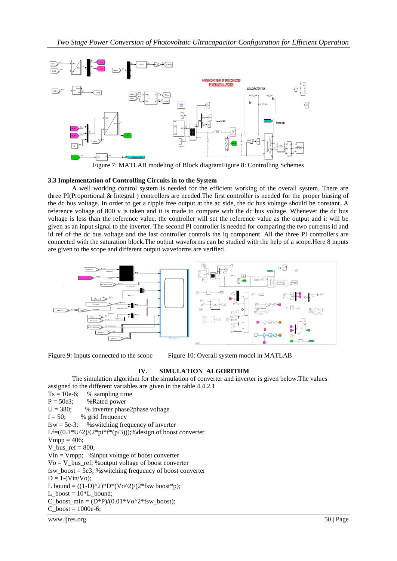

Figure 7: MATLAB modeling of Block diagramFigure 8: Controlling Schemes

### **3.3 Implementation of Controlling Circuits in to the System**

A well working control system is needed for the efficient working of the overall system. There are three PI(Proportional & Integral ) controllers are needed.The first controller is needed for the proper biasing of the dc bus voltage. In order to get a ripple free output at the ac side, the dc bus voltage should be constant. A reference voltage of 800 v is taken and it is made to compare with the dc bus voltage. Whenever the dc bus voltage is less than the reference value, the controller will set the reference value as the output and it will be given as an input signal to the inverter. The second PI controller is needed for comparing the two currents id and id ref of the dc bus voltage and the last controller controls the iq component. All the three PI controllers are connected with the saturation block.The output waveforms can be studied with the help of a scope.Here 8 inputs are given to the scope and different output waveforms are verified.





## **IV. SIMULATION ALGORITHM**

The simulation algorithm for the simulation of converter and inverter is given below.The values assigned to the different variables are given in the table 4.4.2.1

 $Ts = 10e-6$ ; % sampling time  $P = 50e3$ ; %Rated power  $U = 380$ ; % inverter phase2phase voltage  $f = 50$ ; % grid frequency  $fsw = 5e-3$ ; % switching frequency of inverter Lf= $((0.1*U^2)/(2*pi*f*(p/3)))$ ;%design of boost converter  $Vmpp = 406;$  $V_bus_ref = 800;$ Vin = Vmpp; %input voltage of boost converter Vo = V\_bus\_ref; %output voltage of boost converter fsw\_boost = 5e3; %switching frequency of boost converter  $D = 1-(Vin/Vo);$ L bound =  $((1-D)^2)^*D^*(V_0^2)/(2^*fsw \text{ boost*p});$ L boost =  $10*L$  bound; C\_boost\_min =  $(D*P)/(0.01*Vo^2*fsw-boost);$  $C_{\text{boost}} = 1000e-6;$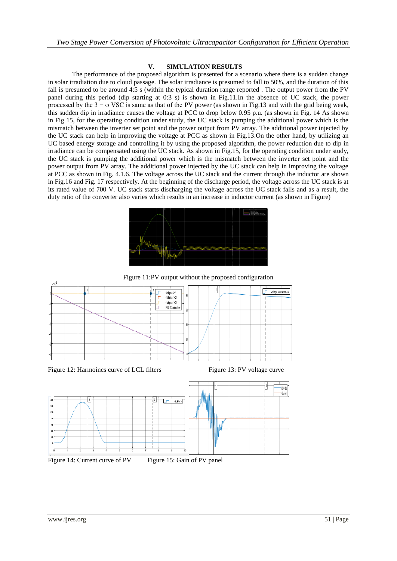#### **V. SIMULATION RESULTS**

The performance of the proposed algorithm is presented for a scenario where there is a sudden change in solar irradiation due to cloud passage. The solar irradiance is presumed to fall to 50%, and the duration of this fall is presumed to be around 4:5 s (within the typical duration range reported . The output power from the PV panel during this period (dip starting at 0:3 s) is shown in Fig.11.In the absence of UC stack, the power processed by the  $3 - \varphi$  VSC is same as that of the PV power (as shown in Fig.13 and with the grid being weak, this sudden dip in irradiance causes the voltage at PCC to drop below 0.95 p.u. (as shown in Fig. 14 As shown in Fig 15, for the operating condition under study, the UC stack is pumping the additional power which is the mismatch between the inverter set point and the power output from PV array. The additional power injected by the UC stack can help in improving the voltage at PCC as shown in Fig.13.On the other hand, by utilizing an UC based energy storage and controlling it by using the proposed algorithm, the power reduction due to dip in irradiance can be compensated using the UC stack. As shown in Fig.15, for the operating condition under study, the UC stack is pumping the additional power which is the mismatch between the inverter set point and the power output from PV array. The additional power injected by the UC stack can help in improving the voltage at PCC as shown in Fig. 4.1.6. The voltage across the UC stack and the current through the inductor are shown in Fig.16 and Fig. 17 respectively. At the beginning of the discharge period, the voltage across the UC stack is at its rated value of 700 V. UC stack starts discharging the voltage across the UC stack falls and as a result, the duty ratio of the converter also varies which results in an increase in inductor current (as shown in Figure)



Figure 11:PV output without the proposed configuration



Figure 14: Current curve of PV Figure 15: Gain of PV panel